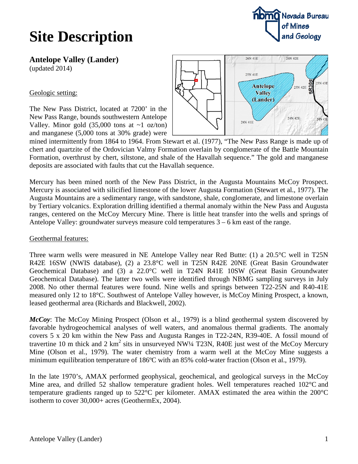# **Site Description**

**noma** Nevada Bureau of Mines and Geology

**Antelope Valley (Lander)**

(updated 2014)

Geologic setting:

The New Pass District, located at 7200' in the New Pass Range, bounds southwestern Antelope Valley. Minor gold  $(35,000 \text{ tons at } -1 \text{ oz/ton})$ and manganese (5,000 tons at 30% grade) were



mined intermittently from 1864 to 1964. From Stewart et al. (1977), "The New Pass Range is made up of chert and quartzite of the Ordovician Valmy Formation overlain by conglomerate of the Battle Mountain Formation, overthrust by chert, siltstone, and shale of the Havallah sequence." The gold and manganese deposits are associated with faults that cut the Havallah sequence.

Mercury has been mined north of the New Pass District, in the Augusta Mountains McCoy Prospect. Mercury is associated with silicified limestone of the lower Augusta Formation (Stewart et al., 1977). The Augusta Mountains are a sedimentary range, with sandstone, shale, conglomerate, and limestone overlain by Tertiary volcanics. Exploration drilling identified a thermal anomaly within the New Pass and Augusta ranges, centered on the McCoy Mercury Mine. There is little heat transfer into the wells and springs of Antelope Valley: groundwater surveys measure cold temperatures 3 – 6 km east of the range.

### Geothermal features:

Three warm wells were measured in NE Antelope Valley near Red Butte: (1) a 20.5°C well in T25N R42E 16SW (NWIS database), (2) a 23.8°C well in T25N R42E 20NE (Great Basin Groundwater Geochemical Database) and (3) a 22.0°C well in T24N R41E 10SW (Great Basin Groundwater Geochemical Database). The latter two wells were identified through NBMG sampling surveys in July 2008. No other thermal features were found. Nine wells and springs between T22-25N and R40-41E measured only 12 to 18°C. Southwest of Antelope Valley however, is McCoy Mining Prospect, a known, leased geothermal area (Richards and Blackwell, 2002).

*McCoy*: The McCoy Mining Prospect (Olson et al., 1979) is a blind geothermal system discovered by favorable hydrogeochemical analyses of well waters, and anomalous thermal gradients. The anomaly covers 5 x 20 km within the New Pass and Augusta Ranges in T22-24N, R39-40E. A fossil mound of travertine 10 m thick and 2 km<sup>2</sup> sits in unsurveyed NW¼ T23N, R40E just west of the McCoy Mercury Mine (Olson et al., 1979). The water chemistry from a warm well at the McCoy Mine suggests a minimum equilibration temperature of 186ºC with an 85% cold-water fraction (Olson et al., 1979).

In the late 1970's, AMAX performed geophysical, geochemical, and geological surveys in the McCoy Mine area, and drilled 52 shallow temperature gradient holes. Well temperatures reached 102<sup>o</sup>C and temperature gradients ranged up to 522°C per kilometer. AMAX estimated the area within the 200°C isotherm to cover 30,000+ acres (GeothermEx, 2004).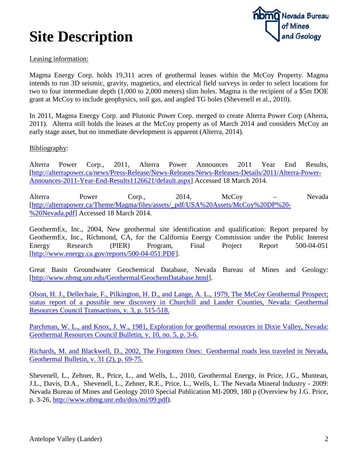# **Site Description**



### Leasing information:

Magma Energy Corp. holds 19,311 acres of geothermal leases within the McCoy Property. Magma intends to run 3D seismic, gravity, magnetics, and electrical field surveys in order to select locations for two to four intermediate depth (1,000 to 2,000 meters) slim holes. Magma is the recipient of a \$5m DOE grant at McCoy to include geophysics, soil gas, and angled TG holes (Shevenell et al., 2010).

In 2011, Magma Energy Corp. and Plutonic Power Corp. merged to create Alterra Power Corp (Alterra, 2011). Alterra still holds the leases at the McCoy property as of March 2014 and considers McCoy an early stage asset, but no immediate development is apparent (Alterra, 2014).

#### Bibliography:

Alterra Power Corp., 2011, Alterra Power Announces 2011 Year End Results, [\[http://alterrapower.ca/news/Press-Release/News-Releases/News-Releases-Details/2011/Alterra-Power-](http://alterrapower.ca/news/Press-Release/News-Releases/News-Releases-Details/2011/Alterra-Power-Announces-2011-Year-End-Results1126621/default.aspx)[Announces-2011-Year-End-Results1126621/default.aspx\]](http://alterrapower.ca/news/Press-Release/News-Releases/News-Releases-Details/2011/Alterra-Power-Announces-2011-Year-End-Results1126621/default.aspx) Accessed 18 March 2014.

Alterra Power Corp., 2014, McCoy – Nevada [\[http://alterrapower.ca/Theme/Magma/files/assets/\\_pdf/USA%20Assets/McCoy%20DP%20-](http://alterrapower.ca/Theme/Magma/files/assets/_pdf/USA%20Assets/McCoy%20DP%20-%20Nevada.pdf) [%20Nevada.pdf\]](http://alterrapower.ca/Theme/Magma/files/assets/_pdf/USA%20Assets/McCoy%20DP%20-%20Nevada.pdf) Accessed 18 March 2014.

GeothermEx, Inc., 2004, New geothermal site identification and qualification: Report prepared by GeothermEx, Inc., Richmond, CA, for the California Energy Commission under the Public Interest Energy Research (PIER) Program, Final Project Report 500-04-051 [\[http://www.energy.ca.gov/reports/500-04-051.PDF\]](http://www.energy.ca.gov/reports/500-04-051.PDF).

Great Basin Groundwater Geochemical Database, Nevada Bureau of Mines and Geology: [\[http://www.nbmg.unr.edu/Geothermal/GeochemDatabase.html\]](http://www.nbmg.unr.edu/Geothermal/GeochemDatabase.html).

[Olson, H. J., Dellechaie, F., Pilkington, H. D., and Lange, A. L., 1979, The McCoy Geothermal Prospect;](http://pubs.geothermal-library.org/lib/grc/1000434.pdf)  [status report of a possible new discovery in Churchill and Lander Counties, Nevada: Geothermal](http://pubs.geothermal-library.org/lib/grc/1000434.pdf)  [Resources Council Transactions, v. 3, p. 515-518.](http://pubs.geothermal-library.org/lib/grc/1000434.pdf)

Parchman, W. L., [and Knox, J. W., 1981, Exploration for geothermal resources in Dixie Valley, Nevada:](http://pubs.geothermal-library.org/lib/grc/7000140.pdf)  [Geothermal Resources Council Bulletin, v. 10, no. 5, p. 3-6.](http://pubs.geothermal-library.org/lib/grc/7000140.pdf)

[Richards, M. and Blackwell, D., 2002, The Forgotten Ones:](http://smu.edu/geothermal/publications/GRC_Forgottenones_v6.pdf) Geothermal roads less traveled in Nevada, [Geothermal Bulletin, v. 31 \(2\), p. 69-75.](http://smu.edu/geothermal/publications/GRC_Forgottenones_v6.pdf)

Shevenell, L., Zehner, R., Price, L., and Wells, L., 2010, Geothermal Energy, in Price, J.G., Muntean, J.L., Davis, D.A., Shevenell, L., Zehner, R.E., Price, L., Wells, L. The Nevada Mineral Industry - 2009: Nevada Bureau of Mines and Geology 2010 Special Publication MI-2009, 180 p (Overview by J.G. Price, p. 3-26, [http://www.nbmg.unr.edu/dox/mi/09.pdf\)](http://www.nbmg.unr.edu/dox/mi/09.pdf).